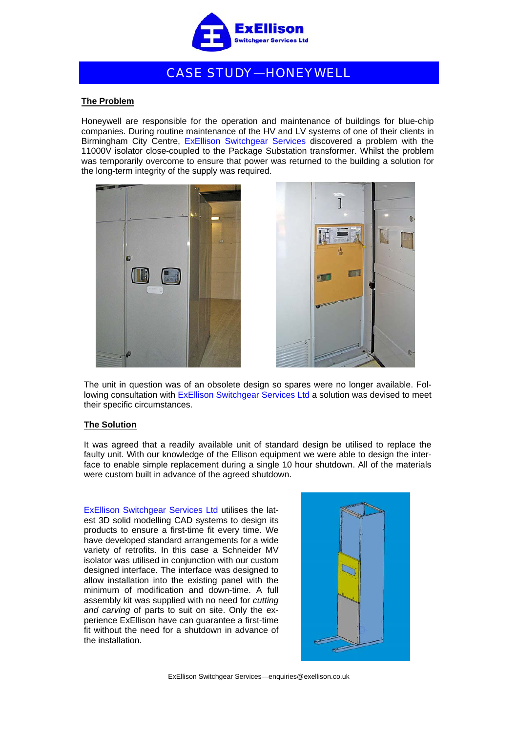

## CASE STUDY—HONEYWELL

## **The Problem**

Honeywell are responsible for the operation and maintenance of buildings for blue-chip companies. During routine maintenance of the HV and LV systems of one of their clients in Birmingham City Centre, ExEllison Switchgear Services discovered a problem with the 11000V isolator close-coupled to the Package Substation transformer. Whilst the problem was temporarily overcome to ensure that power was returned to the building a solution for the long-term integrity of the supply was required.





The unit in question was of an obsolete design so spares were no longer available. Following consultation with ExEllison Switchgear Services Ltd a solution was devised to meet their specific circumstances.

## **The Solution**

It was agreed that a readily available unit of standard design be utilised to replace the faulty unit. With our knowledge of the Ellison equipment we were able to design the interface to enable simple replacement during a single 10 hour shutdown. All of the materials were custom built in advance of the agreed shutdown.

ExEllison Switchgear Services Ltd utilises the latest 3D solid modelling CAD systems to design its products to ensure a first-time fit every time. We have developed standard arrangements for a wide variety of retrofits. In this case a Schneider MV isolator was utilised in conjunction with our custom designed interface. The interface was designed to allow installation into the existing panel with the minimum of modification and down-time. A full assembly kit was supplied with no need for *cutting and carving* of parts to suit on site. Only the experience ExEllison have can guarantee a first-time fit without the need for a shutdown in advance of the installation.



ExEllison Switchgear Services—enquiries@exellison.co.uk